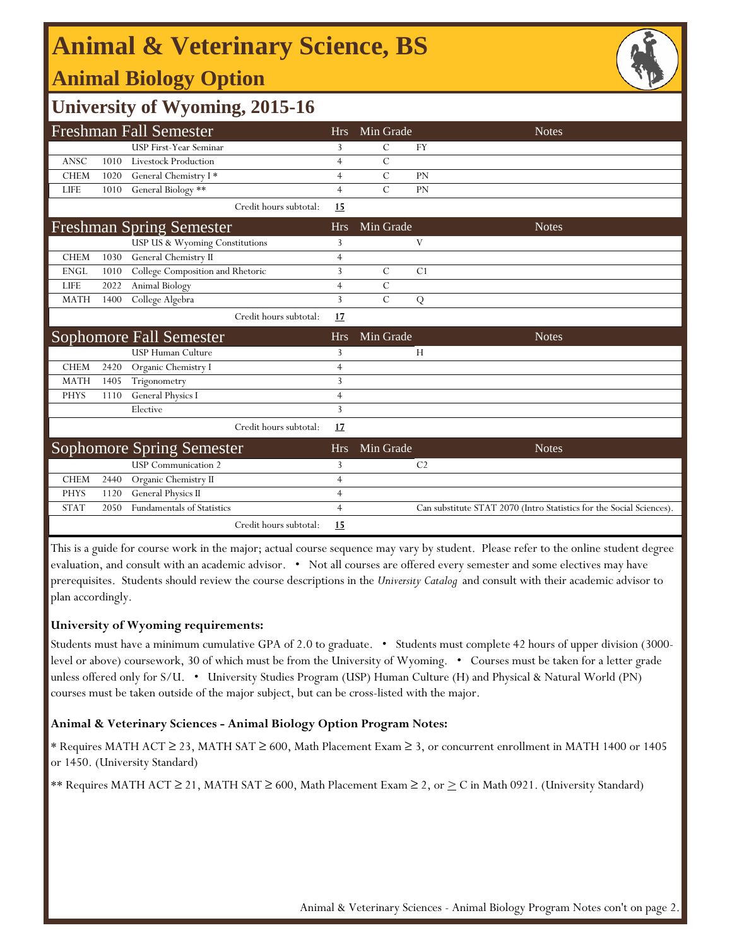# **Animal & Veterinary Science, BS**

## **Animal Biology Option**



### **University of Wyoming, 2015-16**

|             |      | <b>Freshman Fall Semester</b>                                  | <b>Hrs</b>     | Min Grade     |                | <b>Notes</b>                                                         |
|-------------|------|----------------------------------------------------------------|----------------|---------------|----------------|----------------------------------------------------------------------|
|             |      | <b>USP First-Year Seminar</b>                                  | 3              | C             | <b>FY</b>      |                                                                      |
| ANSC        | 1010 | Livestock Production                                           | 4              | $\mathcal{C}$ |                |                                                                      |
| <b>CHEM</b> | 1020 | General Chemistry I*                                           | 4              | $\mathcal{C}$ | PN             |                                                                      |
| <b>LIFE</b> | 1010 | General Biology **                                             | 4              | $\mathcal{C}$ | PN             |                                                                      |
|             |      | Credit hours subtotal:                                         | 15             |               |                |                                                                      |
|             |      | <b>Freshman Spring Semester</b>                                | <b>Hrs</b>     | Min Grade     |                | <b>Notes</b>                                                         |
|             |      | USP US & Wyoming Constitutions                                 | 3              |               | V              |                                                                      |
| <b>CHEM</b> | 1030 | General Chemistry II                                           | 4              |               |                |                                                                      |
| <b>ENGL</b> | 1010 | College Composition and Rhetoric                               | 3              | $\mathcal{C}$ | C1             |                                                                      |
| <b>LIFE</b> | 2022 | Animal Biology                                                 | 4              | $\mathcal{C}$ |                |                                                                      |
| <b>MATH</b> | 1400 | College Algebra                                                | 3              | $\mathcal{C}$ | ${\bf Q}$      |                                                                      |
|             |      | Credit hours subtotal:                                         | 17             |               |                |                                                                      |
|             |      |                                                                |                |               |                |                                                                      |
|             |      | <b>Sophomore Fall Semester</b>                                 | <b>Hrs</b>     | Min Grade     |                | <b>Notes</b>                                                         |
|             |      | <b>USP Human Culture</b>                                       | 3              |               | H              |                                                                      |
| <b>CHEM</b> | 2420 | Organic Chemistry I                                            | 4              |               |                |                                                                      |
| <b>MATH</b> | 1405 | Trigonometry                                                   | 3              |               |                |                                                                      |
| <b>PHYS</b> | 1110 | <b>General Physics I</b>                                       | 4              |               |                |                                                                      |
|             |      | Elective                                                       | 3              |               |                |                                                                      |
|             |      | Credit hours subtotal:                                         | 17             |               |                |                                                                      |
|             |      |                                                                | <b>Hrs</b>     | Min Grade     |                | <b>Notes</b>                                                         |
|             |      | <b>Sophomore Spring Semester</b><br><b>USP</b> Communication 2 | 3              |               | C <sub>2</sub> |                                                                      |
| <b>CHEM</b> | 2440 | Organic Chemistry II                                           | 4              |               |                |                                                                      |
| <b>PHYS</b> | 1120 | General Physics II                                             | $\overline{4}$ |               |                |                                                                      |
| <b>STAT</b> | 2050 | <b>Fundamentals of Statistics</b>                              | 4              |               |                | Can substitute STAT 2070 (Intro Statistics for the Social Sciences). |

This is a guide for course work in the major; actual course sequence may vary by student. Please refer to the online student degree evaluation, and consult with an academic advisor. • Not all courses are offered every semester and some electives may have prerequisites. Students should review the course descriptions in the *University Catalog* and consult with their academic advisor to plan accordingly.

#### **University of Wyoming requirements:**

Students must have a minimum cumulative GPA of 2.0 to graduate. • Students must complete 42 hours of upper division (3000 level or above) coursework, 30 of which must be from the University of Wyoming. • Courses must be taken for a letter grade unless offered only for S/U. • University Studies Program (USP) Human Culture (H) and Physical & Natural World (PN) courses must be taken outside of the major subject, but can be cross-listed with the major.

#### **Animal & Veterinary Sciences - Animal Biology Option Program Notes:**

\* Requires MATH ACT ≥ 23, MATH SAT ≥ 600, Math Placement Exam ≥ 3, or concurrent enrollment in MATH 1400 or 1405 or 1450. (University Standard)

\*\* Requires MATH ACT  $\geq$  21, MATH SAT  $\geq$  600, Math Placement Exam  $\geq$  2, or  $\geq$  C in Math 0921. (University Standard)